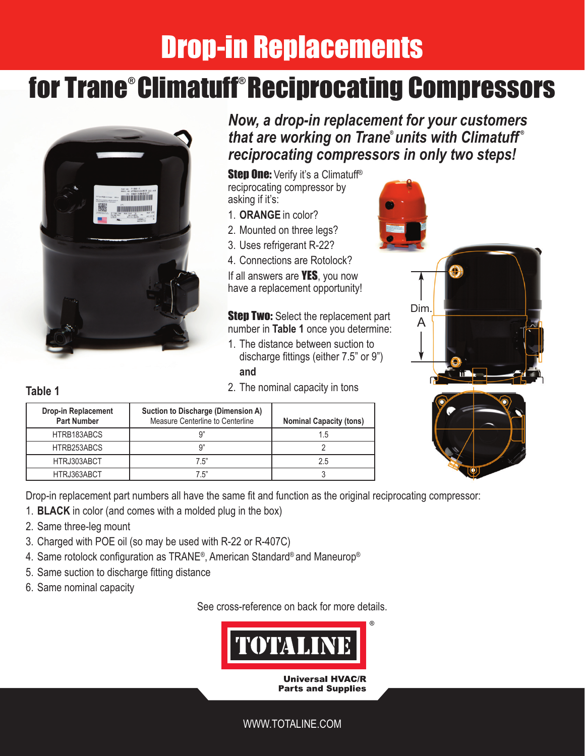# Drop-in Replacements

## for Trane® Climatuff® Reciprocating Compressors



*Now, a drop-in replacement for your customers that are working on Trane® units with Climatuff ® reciprocating compressors in only two steps!*

**Step One:** Verify it's a Climatuff<sup>®</sup> reciprocating compressor by asking if it's:

- 1. **ORANGE** in color?
- 2. Mounted on three legs?
- 3. Uses refrigerant R-22?
- 4. Connections are Rotolock?

If all answers are **YES**, you now have a replacement opportunity!

**Step Two:** Select the replacement part number in **Table 1** once you determine:

- 1. The distance between suction to discharge fittings (either 7.5" or 9") **and**
- 2. The nominal capacity in tons



#### **Table 1**

| <b>Drop-in Replacement</b><br><b>Part Number</b> | Suction to Discharge (Dimension A)<br>Measure Centerline to Centerline | <b>Nominal Capacity (tons)</b> |  |  |
|--------------------------------------------------|------------------------------------------------------------------------|--------------------------------|--|--|
| HTRB183ABCS                                      | a"                                                                     | 1.5                            |  |  |
| HTRB253ABCS                                      | Ω"                                                                     |                                |  |  |
| HTRJ303ABCT                                      | 7.5"                                                                   | 2.5                            |  |  |
| HTRJ363ABCT                                      | 7.5"                                                                   |                                |  |  |

Drop-in replacement part numbers all have the same fit and function as the original reciprocating compressor:

- 1. **BLACK** in color (and comes with a molded plug in the box)
- 2. Same three-leg mount
- 3. Charged with POE oil (so may be used with R-22 or R-407C)
- 4. Same rotolock configuration as TRANE®, American Standard® and Maneurop®
- 5. Same suction to discharge fitting distance
- 6. Same nominal capacity

See cross-reference on back for more details.



#### WWW.TOTALINE.COM